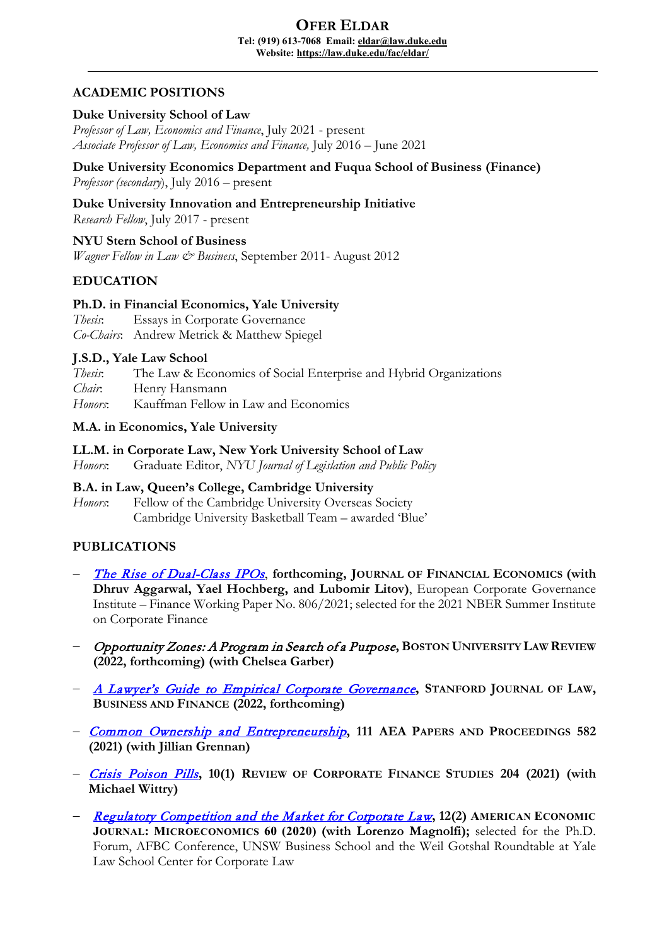#### **OFER ELDAR Tel: (919) 613-7068 Email[: eldar@law.duke.edu](mailto:eldar@law.duke.edu) Website:<https://law.duke.edu/fac/eldar/>**

# **ACADEMIC POSITIONS**

### **Duke University School of Law**

*Professor of Law, Economics and Finance*, July 2021 - present *Associate Professor of Law, Economics and Finance,* July 2016 – June 2021

**Duke University Economics Department and Fuqua School of Business (Finance)** *Professor (secondary*), July 2016 – present

## **Duke University Innovation and Entrepreneurship Initiative**

*Research Fellow*, July 2017 - present

**NYU Stern School of Business** *Wagner Fellow in Law & Business*, September 2011- August 2012

# **EDUCATION**

### **Ph.D. in Financial Economics, Yale University**

*Thesis*: Essays in Corporate Governance *Co-Chairs*: Andrew Metrick & Matthew Spiegel

#### **J.S.D., Yale Law School**

*Thesis*: The Law & Economics of Social Enterprise and Hybrid Organizations *Chair*: Henry Hansmann *Honors*: Kauffman Fellow in Law and Economics

### **M.A. in Economics, Yale University**

### **LL.M. in Corporate Law, New York University School of Law**

*Honors*: Graduate Editor, *NYU Journal of Legislation and Public Policy*

# **B.A. in Law, Queen's College, Cambridge University**

*Honors*: Fellow of the Cambridge University Overseas Society Cambridge University Basketball Team – awarded 'Blue'

### **PUBLICATIONS**

- − [The Rise of Dual-Class IPOs](https://papers.ssrn.com/sol3/papers.cfm?abstract_id=3690670), **forthcoming, JOURNAL OF FINANCIAL ECONOMICS (with Dhruv Aggarwal, Yael Hochberg, and Lubomir Litov)**, European Corporate Governance Institute – Finance Working Paper No. 806/2021; selected for the 2021 NBER Summer Institute on Corporate Finance
- − Opportunity Zones: A Program in Search of a Purpose**, BOSTON UNIVERSITY LAW REVIEW (2022, forthcoming) (with Chelsea Garber)**
- − [A Lawyer's Guide to Empirical Corporate Governance](https://privpapers.ssrn.com/sol3/papers.cfm?abstract_id=3865358)**, STANFORD JOURNAL OF LAW, BUSINESS AND FINANCE (2022, forthcoming)**
- − [Common Ownership and Entrepreneurship](https://papers.ssrn.com/sol3/papers.cfm?abstract_id=3762218)**, 111 AEA PAPERS AND PROCEEDINGS 582 (2021) (with Jillian Grennan)**
- − [Crisis Poison Pills](https://papers.ssrn.com/sol3/papers.cfm?abstract_id=3583428)**, 10(1) REVIEW OF CORPORATE FINANCE STUDIES 204 (2021) (with Michael Wittry)**
- − [Regulatory Competition and the Market for Corporate Law](https://papers.ssrn.com/sol3/papers.cfm?abstract_id=2685969)**, 12(2) AMERICAN ECONOMIC JOURNAL: MICROECONOMICS 60 (2020) (with Lorenzo Magnolfi);** selected for the Ph.D. Forum, AFBC Conference, UNSW Business School and the Weil Gotshal Roundtable at Yale Law School Center for Corporate Law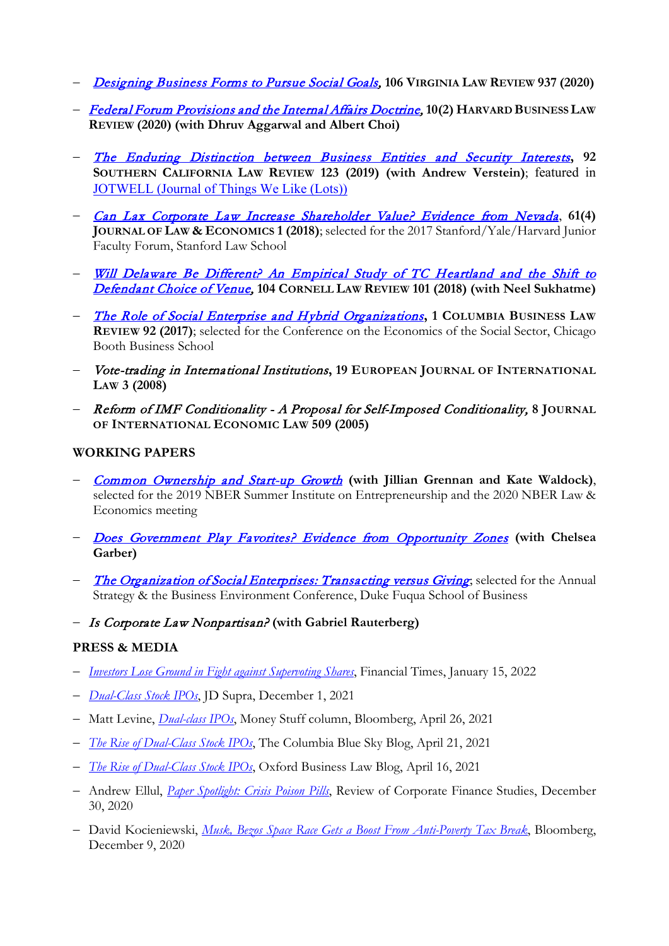- − [Designing Business Forms to Pursue Social Goals,](https://papers.ssrn.com/sol3/papers.cfm?abstract_id=3369354) **106 VIRGINIA LAW REVIEW 937 (2020)**
- − [Federal Forum Provisions and the Internal Affairs Doctrine,](https://papers.ssrn.com/sol3/papers.cfm?abstract_id=3439078) **10(2) HARVARD BUSINESS LAW REVIEW (2020) (with Dhruv Aggarwal and Albert Choi)**
- − [The Enduring Distinction between Business Entities and Security Interests](https://papers.ssrn.com/sol3/papers.cfm?abstract_id=3239969)**, 92 SOUTHERN CALIFORNIA LAW REVIEW 123 (2019) (with Andrew Verstein)**; featured in [JOTWELL \(Journal of Things We Like \(Lots\)\)](https://corp.jotwell.com/asset-partitioning-and-financial-innovation/)
- − [Can Lax Corporate Law Increase Shareholder Value? Evidence from Nevada](https://papers.ssrn.com/sol3/papers.cfm?abstract_id=2685972), **61(4) JOURNAL OF LAW & ECONOMICS 1 (2018)**; selected for the 2017 Stanford/Yale/Harvard Junior Faculty Forum, Stanford Law School
- − [Will Delaware Be Different? An Empirical Study of TC Heartland and the Shift to](https://papers.ssrn.com/sol3/papers.cfm?abstract_id=3183563)  [Defendant Choice of Venue,](https://papers.ssrn.com/sol3/papers.cfm?abstract_id=3183563) **104 CORNELL LAW REVIEW 101 (2018) (with Neel Sukhatme)**
- − [The Role of Social Enterprise and Hybrid Organizations](https://papers.ssrn.com/sol3/papers.cfm?abstract_id=2379012)**, 1 COLUMBIA BUSINESS LAW REVIEW 92 (2017)**; selected for the Conference on the Economics of the Social Sector, Chicago Booth Business School
- − Vote-trading in International Institutions**, 19 EUROPEAN JOURNAL OF INTERNATIONAL LAW 3 (2008)**
- − Reform of IMF Conditionality A Proposal for Self-Imposed Conditionality, **8 JOURNAL OF INTERNATIONAL ECONOMIC LAW 509 (2005)**

# **WORKING PAPERS**

- − [Common Ownership and Start-up Growth](https://papers.ssrn.com/sol3/papers.cfm?abstract_id=3406205) **(with Jillian Grennan and Kate Waldock)**, selected for the 2019 NBER Summer Institute on Entrepreneurship and the 2020 NBER Law & Economics meeting
- − [Does Government Play Favorites? Evidence from Opportunity Zones](https://papers.ssrn.com/sol3/papers.cfm?abstract_id=3463541) **(with Chelsea Garber)**
- − [The Organization of Social Enterprises: Transacting versus Giving](https://papers.ssrn.com/sol3/papers.cfm?abstract_id=3217663); selected for the Annual Strategy & the Business Environment Conference, Duke Fuqua School of Business
- − Is Corporate Law Nonpartisan? **(with Gabriel Rauterberg)**

# **PRESS & MEDIA**

- − *[Investors Lose Ground in Fight against Supervoting Shares](https://www.ft.com/content/fba6f481-64ed-4d27-ab7e-30dd3ec58639)*, Financial Times, January 15, 2022
- − *[Dual-Class Stock IPOs](https://www.jdsupra.com/legalnews/dual-class-stock-ipos-1365483/)*, JD Supra, December 1, 2021
- − Matt Levine, *[Dual-class IPOs](https://www.bloomberg.com/opinion/articles/2021-04-26/gamestop-s-ceo-goes-out-on-top)*, Money Stuff column, Bloomberg, April 26, 2021
- − *[The Rise of Dual-Class Stock IPOs](https://clsbluesky.law.columbia.edu/2021/04/21/the-rise-of-dual-class-stock-ipos/)*, The Columbia Blue Sky Blog, April 21, 2021
- − *[The Rise of Dual-Class Stock IPOs](https://www.law.ox.ac.uk/business-law-blog/blog/2021/04/rise-dual-class-stock-ipos)*, Oxford Business Law Blog, April 16, 2021
- − Andrew Ellul, *[Paper Spotlight: Crisis Poison Pills](http://sfsrcfs.org/news/paper-spotlight-crisis-poison-pills/)*, Review of Corporate Finance Studies, December 30, 2020
- − David Kocieniewski, *[Musk, Bezos Space Race Gets a Boost From Anti-Poverty Tax Break](https://www.bloomberg.com/news/features/2020-12-09/elon-musk-jeff-bezos-use-opportunity-zone-tax-breaks-for-private-space-race)*, Bloomberg, December 9, 2020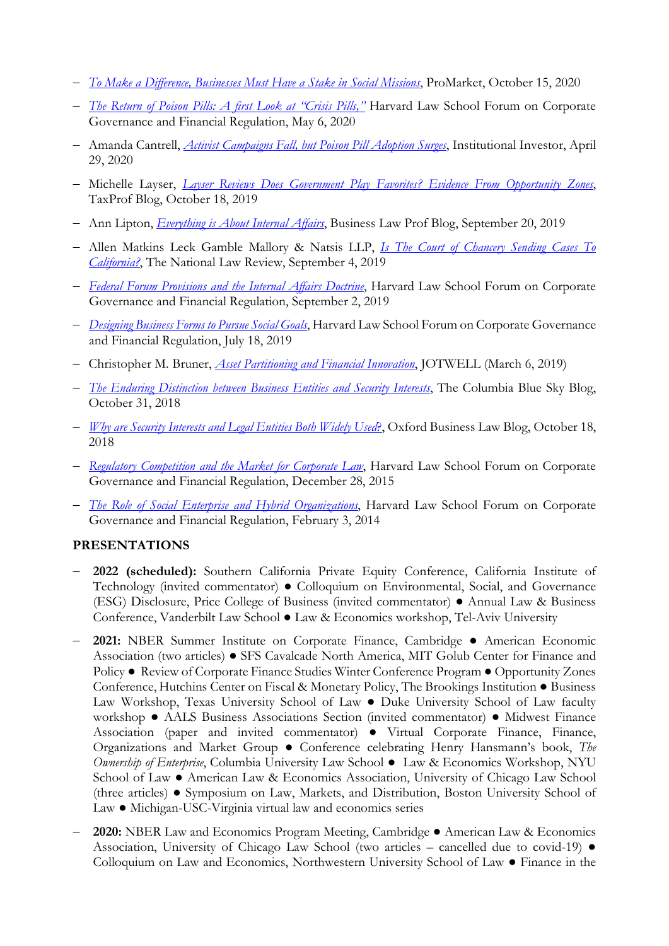- − *[To Make a Difference, Businesses Must Have a Stake in Social Missions](https://promarket.org/2020/10/15/to-make-a-difference-businesses-must-have-a-stake-in-social-missions/)*, ProMarket, October 15, 2020
- − *[The Return of Poison Pills: A first Look at "Crisis Pills,"](https://corpgov.law.harvard.edu/2020/05/06/the-return-of-poison-pills-a-first-look-at-crisis-pills/)* Harvard Law School Forum on Corporate Governance and Financial Regulation, May 6, 2020
- − Amanda Cantrell, *[Activist Campaigns Fall, but Poison Pill Adoption Surges](https://www.institutionalinvestor.com/article/b1ldx6vmkpx42s/Activist-Campaigns-Fall-but-Poison-Pill-Adoption-Surges)*, Institutional Investor, April 29, 2020
- − Michelle Layser, *[Layser Reviews Does Government Play Favorites? Evidence From Opportunity Zones](https://taxprof.typepad.com/taxprof_blog/2019/10/weekly-ssrn-tax-article-review-and-roundup-layser-reviews-does-government-play-favorites-evidence-fr.html)*, TaxProf Blog, October 18, 2019
- − Ann Lipton, *[Everything is About Internal Affairs](https://lawprofessors.typepad.com/business_law/2019/09/everything-is-about-internal-affairs.html)*, Business Law Prof Blog, September 20, 2019
- − Allen Matkins Leck Gamble Mallory & Natsis LLP, *[Is The Court of Chancery Sending Cases To](https://www.natlawreview.com/article/court-chancery-sending-cases-to-california)  [California?](https://www.natlawreview.com/article/court-chancery-sending-cases-to-california)*, The National Law Review, September 4, 2019
- − *[Federal Forum Provisions and the Internal Affairs Doctrine](https://corpgov.law.harvard.edu/2019/09/02/federal-forum-provisions-and-the-internal-affairs-doctrine/)*, Harvard Law School Forum on Corporate Governance and Financial Regulation, September 2, 2019
- − *[Designing Business Forms to Pursue Social Goals](https://corpgov.law.harvard.edu/2019/07/18/designing-business-forms-to-pursue-social-goals/)*, Harvard Law School Forum on Corporate Governance and Financial Regulation, July 18, 2019
- − Christopher M. Bruner, *[Asset Partitioning and Financial Innovation](https://corp.jotwell.com/asset-partitioning-and-financial-innovation/)*, JOTWELL (March 6, 2019)
- − *[The Enduring Distinction between Business Entities and Security Interests](https://southerncalifornialawreview.com/2019/01/05/the-enduring-distinction-between-business-entities-and-security-interests-article-by-ofer-eldar-andrew-verstein/)*, The Columbia Blue Sky Blog, October 31, 2018
- − *[Why are Security Interests and Legal Entities Both Widely Used](https://www.law.ox.ac.uk/business-law-blog/blog/2018/10/why-are-security-interests-and-legal-entities-both-widely-used)*?, Oxford Business Law Blog, October 18, 2018
- − *[Regulatory Competition and the Market for Corporate Law](https://corpgov.law.harvard.edu/2015/12/28/regulatory-competition-and-the-market-for-corporate-law/)*, Harvard Law School Forum on Corporate Governance and Financial Regulation, December 28, 2015
- − *[The Role of Social Enterprise and Hybrid Organizations](https://corpgov.law.harvard.edu/2014/02/03/the-role-of-social-enterprise-and-hybrid-organizations/)*, Harvard Law School Forum on Corporate Governance and Financial Regulation, February 3, 2014

# **PRESENTATIONS**

- − **2022 (scheduled):** Southern California Private Equity Conference, California Institute of Technology (invited commentator) ● Colloquium on Environmental, Social, and Governance (ESG) Disclosure, Price College of Business (invited commentator) ● Annual Law & Business Conference, Vanderbilt Law School ● Law & Economics workshop, Tel-Aviv University
- − **2021:** NBER Summer Institute on Corporate Finance, Cambridge American Economic Association (two articles) ● SFS Cavalcade North America, MIT Golub Center for Finance and Policy ● Review of Corporate Finance Studies Winter Conference Program ● Opportunity Zones Conference, Hutchins Center on Fiscal & Monetary Policy, The Brookings Institution ● Business Law Workshop, Texas University School of Law ● Duke University School of Law faculty workshop ● AALS Business Associations Section (invited commentator) ● Midwest Finance Association (paper and invited commentator) ● Virtual Corporate Finance, Finance, Organizations and Market Group ● Conference celebrating Henry Hansmann's book, *The Ownership of Enterprise*, Columbia University Law School ● Law & Economics Workshop, NYU School of Law ● American Law & Economics Association, University of Chicago Law School (three articles) ● Symposium on Law, Markets, and Distribution, Boston University School of Law ● Michigan-USC-Virginia virtual law and economics series
- − **2020:** NBER Law and Economics Program Meeting, Cambridge American Law & Economics Association, University of Chicago Law School (two articles – cancelled due to covid-19) **●**  Colloquium on Law and Economics, Northwestern University School of Law ● Finance in the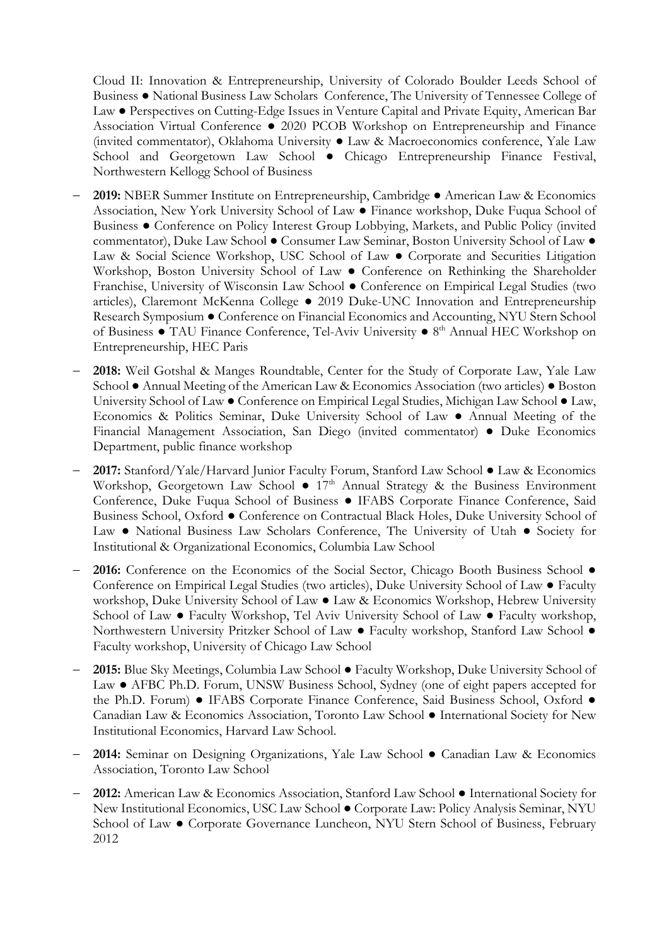Cloud II: Innovation & Entrepreneurship, University of Colorado Boulder Leeds School of Business ● National Business Law Scholars Conference, The University of Tennessee College of Law ● Perspectives on Cutting-Edge Issues in Venture Capital and Private Equity, American Bar Association Virtual Conference ● 2020 PCOB Workshop on Entrepreneurship and Finance (invited commentator), Oklahoma University ● Law & Macroeconomics conference, Yale Law School and Georgetown Law School • Chicago Entrepreneurship Finance Festival, Northwestern Kellogg School of Business

- − **2019:** NBER Summer Institute on Entrepreneurship, Cambridge American Law & Economics Association, New York University School of Law ● Finance workshop, Duke Fuqua School of Business ● Conference on Policy Interest Group Lobbying, Markets, and Public Policy (invited commentator), Duke Law School ● Consumer Law Seminar, Boston University School of Law ● Law & Social Science Workshop, USC School of Law ● Corporate and Securities Litigation Workshop, Boston University School of Law ● Conference on Rethinking the Shareholder Franchise, University of Wisconsin Law School ● Conference on Empirical Legal Studies (two articles), Claremont McKenna College ● 2019 Duke-UNC Innovation and Entrepreneurship Research Symposium ● Conference on Financial Economics and Accounting, NYU Stern School of Business ● TAU Finance Conference, Tel-Aviv University ● 8<sup>th</sup> Annual HEC Workshop on Entrepreneurship, HEC Paris
- − **2018:** Weil Gotshal & Manges Roundtable, Center for the Study of Corporate Law, Yale Law School ● Annual Meeting of the American Law & Economics Association (two articles) ● Boston University School of Law ● Conference on Empirical Legal Studies, Michigan Law School ● Law, Economics & Politics Seminar, Duke University School of Law ● Annual Meeting of the Financial Management Association, San Diego (invited commentator) ● Duke Economics Department, public finance workshop
- − **2017:** Stanford/Yale/Harvard Junior Faculty Forum, Stanford Law School **●** Law & Economics Workshop, Georgetown Law School  $\bullet$  17<sup>th</sup> Annual Strategy & the Business Environment Conference, Duke Fuqua School of Business **●** IFABS Corporate Finance Conference, Said Business School, Oxford **●** Conference on Contractual Black Holes, Duke University School of Law **●** National Business Law Scholars Conference, The University of Utah **●** Society for Institutional & Organizational Economics, Columbia Law School
- − **2016:** Conference on the Economics of the Social Sector, Chicago Booth Business School  Conference on Empirical Legal Studies (two articles), Duke University School of Law **●** Faculty workshop, Duke University School of Law **●** Law & Economics Workshop, Hebrew University School of Law **●** Faculty Workshop, Tel Aviv University School of Law **●** Faculty workshop, Northwestern University Pritzker School of Law **●** Faculty workshop, Stanford Law School **●**  Faculty workshop, University of Chicago Law School
- − **2015:** Blue Sky Meetings, Columbia Law School **●** Faculty Workshop, Duke University School of Law **●** AFBC Ph.D. Forum, UNSW Business School, Sydney (one of eight papers accepted for the Ph.D. Forum) **●** IFABS Corporate Finance Conference, Said Business School, Oxford **●** Canadian Law & Economics Association, Toronto Law School **●** International Society for New Institutional Economics, Harvard Law School.
- − **2014:** Seminar on Designing Organizations, Yale Law School **●** Canadian Law & Economics Association, Toronto Law School
- − **2012:** American Law & Economics Association, Stanford Law School **●** International Society for New Institutional Economics, USC Law School **●** Corporate Law: Policy Analysis Seminar, NYU School of Law **●** Corporate Governance Luncheon, NYU Stern School of Business, February 2012